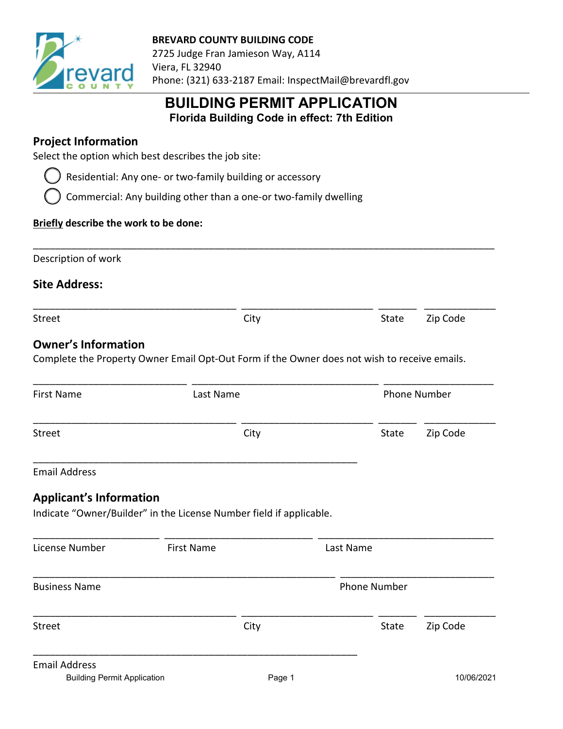

# **BUILDING PERMIT APPLICATION Florida Building Code in effect: 7th Edition**

## **Project Information**

Select the option which best describes the job site:

Residential: Any one- or two-family building or accessory

Commercial: Any building other than a one-or two-family dwelling

#### **Briefly describe the work to be done:**

Description of work

**Site Address:**

\_\_\_\_\_\_\_\_\_\_\_\_\_\_\_\_\_\_\_\_\_\_\_\_\_\_\_\_\_\_\_\_\_\_\_\_\_\_\_\_\_\_\_\_\_\_\_\_\_\_\_\_\_\_\_\_\_\_\_\_\_\_\_\_\_\_\_\_\_\_\_\_\_\_\_\_\_\_\_\_\_\_\_\_

\_\_\_\_\_\_\_\_\_\_\_\_\_\_\_\_\_\_\_\_\_\_\_\_\_\_\_\_\_\_\_\_\_\_\_\_\_ \_\_\_\_\_\_\_\_\_\_\_\_\_\_\_\_\_\_\_\_\_\_\_\_ \_\_\_\_\_\_\_ \_\_\_\_\_\_\_\_\_\_\_\_\_

Street City City City State Zip Code

#### **Owner's Information**

Complete the Property Owner Email Opt-Out Form if the Owner does not wish to receive emails.

| <b>First Name</b>              | Last Name                                                           |                     | <b>Phone Number</b> |  |
|--------------------------------|---------------------------------------------------------------------|---------------------|---------------------|--|
| <b>Street</b>                  | City                                                                | State               | Zip Code            |  |
| <b>Email Address</b>           |                                                                     |                     |                     |  |
| <b>Applicant's Information</b> | Indicate "Owner/Builder" in the License Number field if applicable. |                     |                     |  |
|                                |                                                                     |                     |                     |  |
| License Number                 | <b>First Name</b>                                                   | Last Name           |                     |  |
| <b>Business Name</b>           |                                                                     | <b>Phone Number</b> |                     |  |
| <b>Street</b>                  | City                                                                | State               | Zip Code            |  |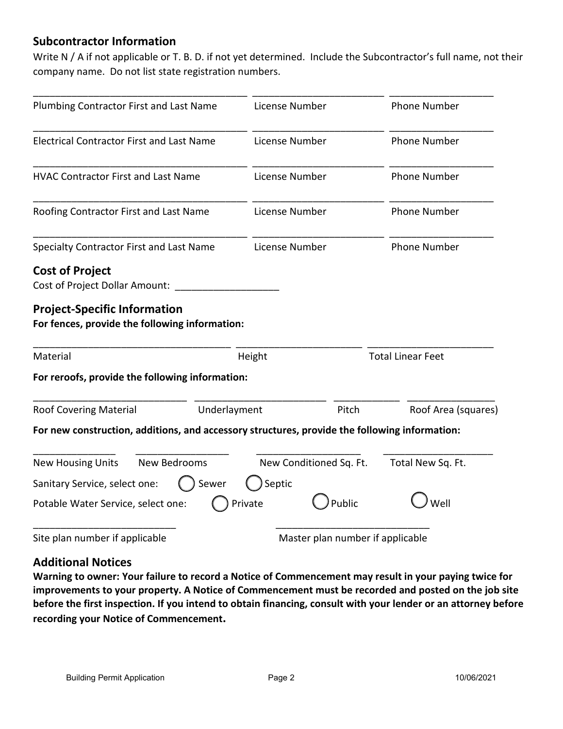### **Subcontractor Information**

Write N / A if not applicable or T. B. D. if not yet determined. Include the Subcontractor's full name, not their company name. Do not list state registration numbers.

| Plumbing Contractor First and Last Name                                                       |              | License Number |                                  | <b>Phone Number</b>                        |  |
|-----------------------------------------------------------------------------------------------|--------------|----------------|----------------------------------|--------------------------------------------|--|
| <b>Electrical Contractor First and Last Name</b>                                              |              | License Number |                                  | <b>Phone Number</b><br><b>Phone Number</b> |  |
| <b>HVAC Contractor First and Last Name</b>                                                    |              | License Number |                                  |                                            |  |
| Roofing Contractor First and Last Name                                                        |              | License Number |                                  | <b>Phone Number</b>                        |  |
| Specialty Contractor First and Last Name                                                      |              | License Number |                                  | <b>Phone Number</b>                        |  |
| <b>Cost of Project</b><br><b>Cost of Project Dollar Amount:</b>                               |              |                |                                  |                                            |  |
| <b>Project-Specific Information</b><br>For fences, provide the following information:         |              |                |                                  |                                            |  |
| Material                                                                                      |              | Height         |                                  | <b>Total Linear Feet</b>                   |  |
| For reroofs, provide the following information:                                               |              |                |                                  |                                            |  |
| <b>Roof Covering Material</b>                                                                 | Underlayment |                | Pitch                            | Roof Area (squares)                        |  |
| For new construction, additions, and accessory structures, provide the following information: |              |                |                                  |                                            |  |
| <b>New Housing Units</b>                                                                      | New Bedrooms |                | New Conditioned Sq. Ft.          | Total New Sq. Ft.                          |  |
| Sanitary Service, select one:                                                                 | Sewer        | Septic         |                                  |                                            |  |
| Potable Water Service, select one:                                                            |              | Private        | Public                           | Well                                       |  |
| Site plan number if applicable                                                                |              |                | Master plan number if applicable |                                            |  |

### **Additional Notices**

**Warning to owner: Your failure to record a Notice of Commencement may result in your paying twice for improvements to your property. A Notice of Commencement must be recorded and posted on the job site before the first inspection. If you intend to obtain financing, consult with your lender or an attorney before recording your Notice of Commencement.**